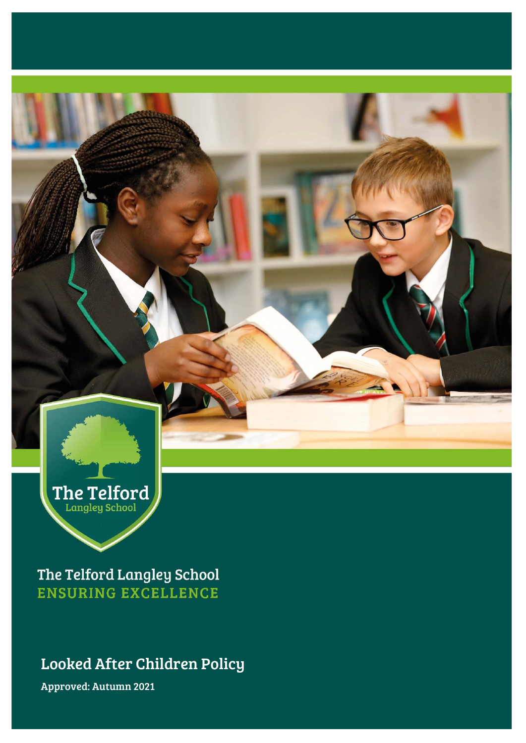

The Telford Langley School **ENSURING EXCELLENCE** 

Looked After Children Policy

Approved: Autumn 2021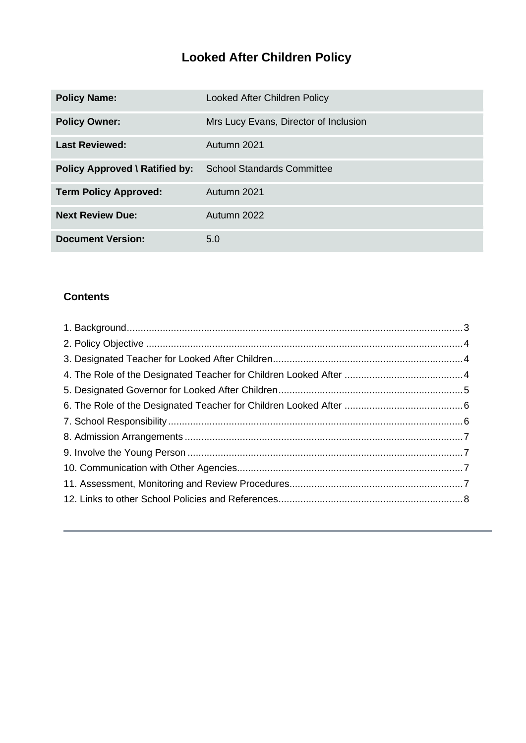# **Looked After Children Policy**

| <b>Policy Name:</b>                   | Looked After Children Policy          |
|---------------------------------------|---------------------------------------|
| <b>Policy Owner:</b>                  | Mrs Lucy Evans, Director of Inclusion |
| <b>Last Reviewed:</b>                 | Autumn 2021                           |
| <b>Policy Approved \ Ratified by:</b> | <b>School Standards Committee</b>     |
| <b>Term Policy Approved:</b>          | Autumn 2021                           |
| <b>Next Review Due:</b>               | Autumn 2022                           |
| <b>Document Version:</b>              | 5.0                                   |

#### **Contents**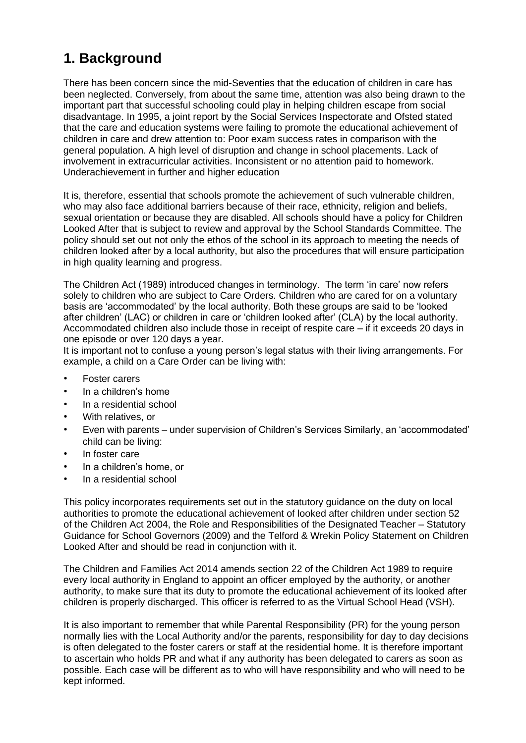# <span id="page-2-0"></span>**1. Background**

There has been concern since the mid-Seventies that the education of children in care has been neglected. Conversely, from about the same time, attention was also being drawn to the important part that successful schooling could play in helping children escape from social disadvantage. In 1995, a joint report by the Social Services Inspectorate and Ofsted stated that the care and education systems were failing to promote the educational achievement of children in care and drew attention to: Poor exam success rates in comparison with the general population. A high level of disruption and change in school placements. Lack of involvement in extracurricular activities. Inconsistent or no attention paid to homework. Underachievement in further and higher education

It is, therefore, essential that schools promote the achievement of such vulnerable children, who may also face additional barriers because of their race, ethnicity, religion and beliefs, sexual orientation or because they are disabled. All schools should have a policy for Children Looked After that is subject to review and approval by the School Standards Committee. The policy should set out not only the ethos of the school in its approach to meeting the needs of children looked after by a local authority, but also the procedures that will ensure participation in high quality learning and progress.

The Children Act (1989) introduced changes in terminology. The term 'in care' now refers solely to children who are subject to Care Orders. Children who are cared for on a voluntary basis are 'accommodated' by the local authority. Both these groups are said to be 'looked after children' (LAC) or children in care or 'children looked after' (CLA) by the local authority. Accommodated children also include those in receipt of respite care – if it exceeds 20 days in one episode or over 120 days a year.

It is important not to confuse a young person's legal status with their living arrangements. For example, a child on a Care Order can be living with:

- Foster carers
- In a children's home
- In a residential school
- With relatives, or
- Even with parents under supervision of Children's Services Similarly, an 'accommodated' child can be living:
- In foster care
- In a children's home, or
- In a residential school

This policy incorporates requirements set out in the statutory guidance on the duty on local authorities to promote the educational achievement of looked after children under section 52 of the Children Act 2004, the Role and Responsibilities of the Designated Teacher – Statutory Guidance for School Governors (2009) and the Telford & Wrekin Policy Statement on Children Looked After and should be read in conjunction with it.

The Children and Families Act 2014 amends section 22 of the Children Act 1989 to require every local authority in England to appoint an officer employed by the authority, or another authority, to make sure that its duty to promote the educational achievement of its looked after children is properly discharged. This officer is referred to as the Virtual School Head (VSH).

It is also important to remember that while Parental Responsibility (PR) for the young person normally lies with the Local Authority and/or the parents, responsibility for day to day decisions is often delegated to the foster carers or staff at the residential home. It is therefore important to ascertain who holds PR and what if any authority has been delegated to carers as soon as possible. Each case will be different as to who will have responsibility and who will need to be kept informed.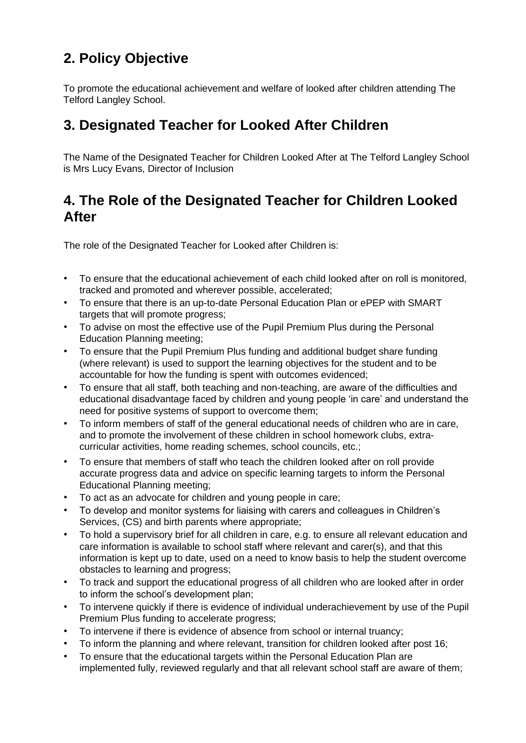# <span id="page-3-0"></span>**2. Policy Objective**

To promote the educational achievement and welfare of looked after children attending The Telford Langley School.

## <span id="page-3-1"></span>**3. Designated Teacher for Looked After Children**

The Name of the Designated Teacher for Children Looked After at The Telford Langley School is Mrs Lucy Evans, Director of Inclusion

## <span id="page-3-2"></span>**4. The Role of the Designated Teacher for Children Looked After**

The role of the Designated Teacher for Looked after Children is:

- To ensure that the educational achievement of each child looked after on roll is monitored, tracked and promoted and wherever possible, accelerated;
- To ensure that there is an up-to-date Personal Education Plan or ePEP with SMART targets that will promote progress:
- To advise on most the effective use of the Pupil Premium Plus during the Personal Education Planning meeting;
- To ensure that the Pupil Premium Plus funding and additional budget share funding (where relevant) is used to support the learning objectives for the student and to be accountable for how the funding is spent with outcomes evidenced;
- To ensure that all staff, both teaching and non-teaching, are aware of the difficulties and educational disadvantage faced by children and young people 'in care' and understand the need for positive systems of support to overcome them;
- To inform members of staff of the general educational needs of children who are in care, and to promote the involvement of these children in school homework clubs, extracurricular activities, home reading schemes, school councils, etc.;
- To ensure that members of staff who teach the children looked after on roll provide accurate progress data and advice on specific learning targets to inform the Personal Educational Planning meeting;
- To act as an advocate for children and young people in care;
- To develop and monitor systems for liaising with carers and colleagues in Children's Services, (CS) and birth parents where appropriate;
- To hold a supervisory brief for all children in care, e.g. to ensure all relevant education and care information is available to school staff where relevant and carer(s), and that this information is kept up to date, used on a need to know basis to help the student overcome obstacles to learning and progress;
- To track and support the educational progress of all children who are looked after in order to inform the school's development plan;
- To intervene quickly if there is evidence of individual underachievement by use of the Pupil Premium Plus funding to accelerate progress;
- To intervene if there is evidence of absence from school or internal truancy;
- To inform the planning and where relevant, transition for children looked after post 16;
- To ensure that the educational targets within the Personal Education Plan are implemented fully, reviewed regularly and that all relevant school staff are aware of them;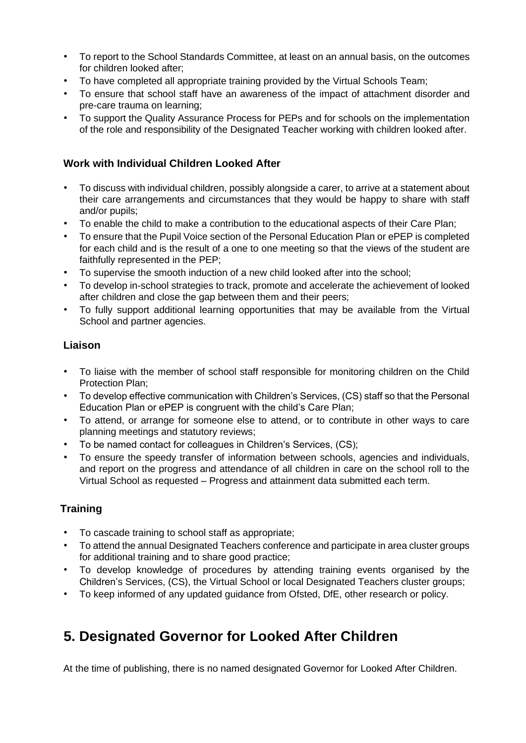- To report to the School Standards Committee, at least on an annual basis, on the outcomes for children looked after;
- To have completed all appropriate training provided by the Virtual Schools Team;
- To ensure that school staff have an awareness of the impact of attachment disorder and pre-care trauma on learning;
- To support the Quality Assurance Process for PEPs and for schools on the implementation of the role and responsibility of the Designated Teacher working with children looked after.

#### **Work with Individual Children Looked After**

- To discuss with individual children, possibly alongside a carer, to arrive at a statement about their care arrangements and circumstances that they would be happy to share with staff and/or pupils;
- To enable the child to make a contribution to the educational aspects of their Care Plan;
- To ensure that the Pupil Voice section of the Personal Education Plan or ePEP is completed for each child and is the result of a one to one meeting so that the views of the student are faithfully represented in the PEP;
- To supervise the smooth induction of a new child looked after into the school;
- To develop in-school strategies to track, promote and accelerate the achievement of looked after children and close the gap between them and their peers;
- To fully support additional learning opportunities that may be available from the Virtual School and partner agencies.

#### **Liaison**

- To liaise with the member of school staff responsible for monitoring children on the Child Protection Plan;
- To develop effective communication with Children's Services, (CS) staff so that the Personal Education Plan or ePEP is congruent with the child's Care Plan;
- To attend, or arrange for someone else to attend, or to contribute in other ways to care planning meetings and statutory reviews;
- To be named contact for colleagues in Children's Services, (CS);
- To ensure the speedy transfer of information between schools, agencies and individuals, and report on the progress and attendance of all children in care on the school roll to the Virtual School as requested – Progress and attainment data submitted each term.

#### **Training**

- To cascade training to school staff as appropriate;
- To attend the annual Designated Teachers conference and participate in area cluster groups for additional training and to share good practice;
- To develop knowledge of procedures by attending training events organised by the Children's Services, (CS), the Virtual School or local Designated Teachers cluster groups;
- To keep informed of any updated guidance from Ofsted, DfE, other research or policy.

## <span id="page-4-0"></span>**5. Designated Governor for Looked After Children**

At the time of publishing, there is no named designated Governor for Looked After Children.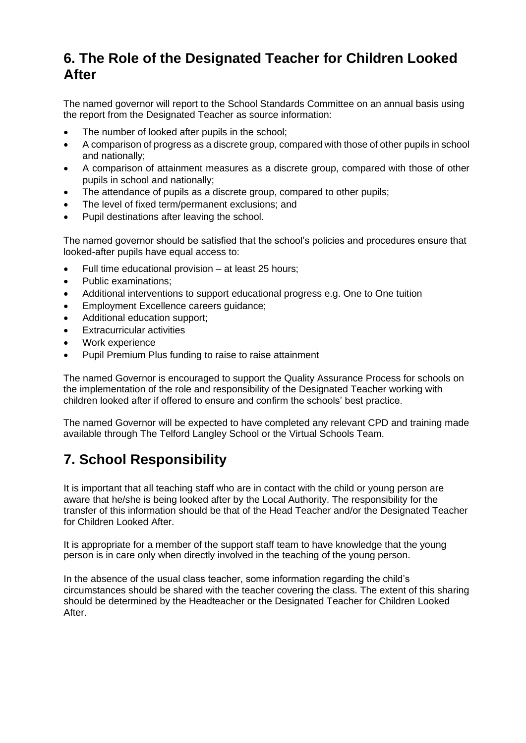## <span id="page-5-0"></span>**6. The Role of the Designated Teacher for Children Looked After**

The named governor will report to the School Standards Committee on an annual basis using the report from the Designated Teacher as source information:

- The number of looked after pupils in the school;
- A comparison of progress as a discrete group, compared with those of other pupils in school and nationally;
- A comparison of attainment measures as a discrete group, compared with those of other pupils in school and nationally;
- The attendance of pupils as a discrete group, compared to other pupils;
- The level of fixed term/permanent exclusions; and
- Pupil destinations after leaving the school.

The named governor should be satisfied that the school's policies and procedures ensure that looked-after pupils have equal access to:

- Full time educational provision at least 25 hours;
- Public examinations:
- Additional interventions to support educational progress e.g. One to One tuition
- Employment Excellence careers guidance;
- Additional education support;
- **Extracurricular activities**
- Work experience
- Pupil Premium Plus funding to raise to raise attainment

The named Governor is encouraged to support the Quality Assurance Process for schools on the implementation of the role and responsibility of the Designated Teacher working with children looked after if offered to ensure and confirm the schools' best practice.

The named Governor will be expected to have completed any relevant CPD and training made available through The Telford Langley School or the Virtual Schools Team.

# <span id="page-5-1"></span>**7. School Responsibility**

It is important that all teaching staff who are in contact with the child or young person are aware that he/she is being looked after by the Local Authority. The responsibility for the transfer of this information should be that of the Head Teacher and/or the Designated Teacher for Children Looked After.

It is appropriate for a member of the support staff team to have knowledge that the young person is in care only when directly involved in the teaching of the young person.

In the absence of the usual class teacher, some information regarding the child's circumstances should be shared with the teacher covering the class. The extent of this sharing should be determined by the Headteacher or the Designated Teacher for Children Looked After.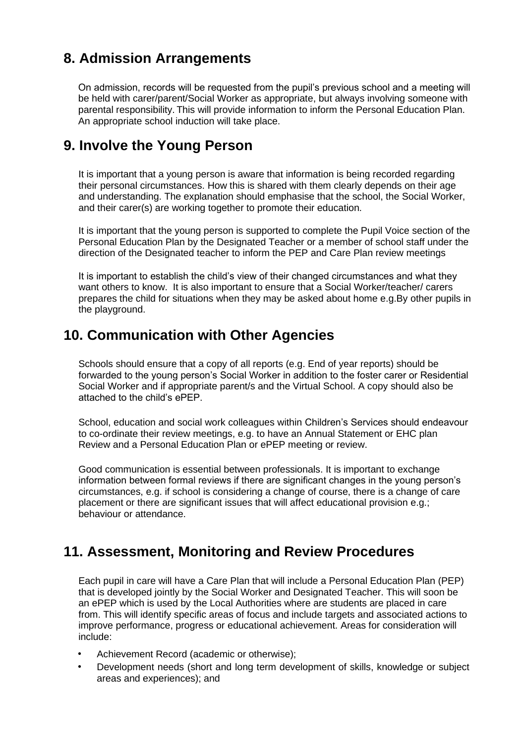## <span id="page-6-0"></span>**8. Admission Arrangements**

On admission, records will be requested from the pupil's previous school and a meeting will be held with carer/parent/Social Worker as appropriate, but always involving someone with parental responsibility. This will provide information to inform the Personal Education Plan. An appropriate school induction will take place.

### <span id="page-6-1"></span>**9. Involve the Young Person**

It is important that a young person is aware that information is being recorded regarding their personal circumstances. How this is shared with them clearly depends on their age and understanding. The explanation should emphasise that the school, the Social Worker, and their carer(s) are working together to promote their education.

It is important that the young person is supported to complete the Pupil Voice section of the Personal Education Plan by the Designated Teacher or a member of school staff under the direction of the Designated teacher to inform the PEP and Care Plan review meetings

It is important to establish the child's view of their changed circumstances and what they want others to know. It is also important to ensure that a Social Worker/teacher/ carers prepares the child for situations when they may be asked about home e.g.By other pupils in the playground.

### <span id="page-6-2"></span>**10. Communication with Other Agencies**

Schools should ensure that a copy of all reports (e.g. End of year reports) should be forwarded to the young person's Social Worker in addition to the foster carer or Residential Social Worker and if appropriate parent/s and the Virtual School. A copy should also be attached to the child's ePEP.

School, education and social work colleagues within Children's Services should endeavour to co-ordinate their review meetings, e.g. to have an Annual Statement or EHC plan Review and a Personal Education Plan or ePEP meeting or review.

Good communication is essential between professionals. It is important to exchange information between formal reviews if there are significant changes in the young person's circumstances, e.g. if school is considering a change of course, there is a change of care placement or there are significant issues that will affect educational provision e.g.; behaviour or attendance.

### <span id="page-6-3"></span>**11. Assessment, Monitoring and Review Procedures**

Each pupil in care will have a Care Plan that will include a Personal Education Plan (PEP) that is developed jointly by the Social Worker and Designated Teacher. This will soon be an ePEP which is used by the Local Authorities where are students are placed in care from. This will identify specific areas of focus and include targets and associated actions to improve performance, progress or educational achievement. Areas for consideration will include:

- Achievement Record (academic or otherwise);
- Development needs (short and long term development of skills, knowledge or subject areas and experiences); and